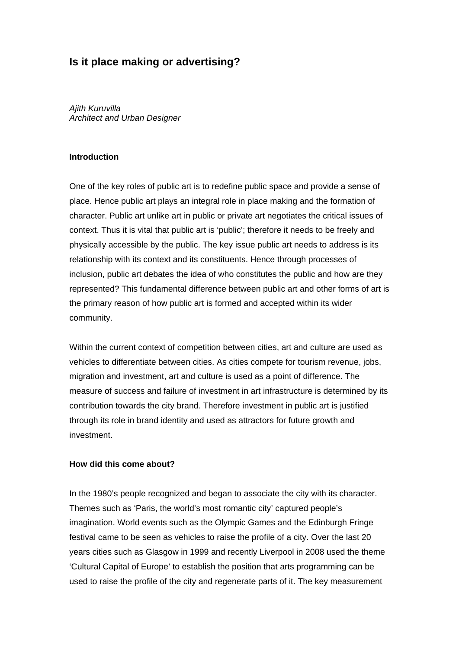# **Is it place making or advertising?**

*Ajith Kuruvilla Architect and Urban Designer* 

# **Introduction**

One of the key roles of public art is to redefine public space and provide a sense of place. Hence public art plays an integral role in place making and the formation of character. Public art unlike art in public or private art negotiates the critical issues of context. Thus it is vital that public art is 'public'; therefore it needs to be freely and physically accessible by the public. The key issue public art needs to address is its relationship with its context and its constituents. Hence through processes of inclusion, public art debates the idea of who constitutes the public and how are they represented? This fundamental difference between public art and other forms of art is the primary reason of how public art is formed and accepted within its wider community.

Within the current context of competition between cities, art and culture are used as vehicles to differentiate between cities. As cities compete for tourism revenue, jobs, migration and investment, art and culture is used as a point of difference. The measure of success and failure of investment in art infrastructure is determined by its contribution towards the city brand. Therefore investment in public art is justified through its role in brand identity and used as attractors for future growth and investment.

# **How did this come about?**

In the 1980's people recognized and began to associate the city with its character. Themes such as 'Paris, the world's most romantic city' captured people's imagination. World events such as the Olympic Games and the Edinburgh Fringe festival came to be seen as vehicles to raise the profile of a city. Over the last 20 years cities such as Glasgow in 1999 and recently Liverpool in 2008 used the theme 'Cultural Capital of Europe' to establish the position that arts programming can be used to raise the profile of the city and regenerate parts of it. The key measurement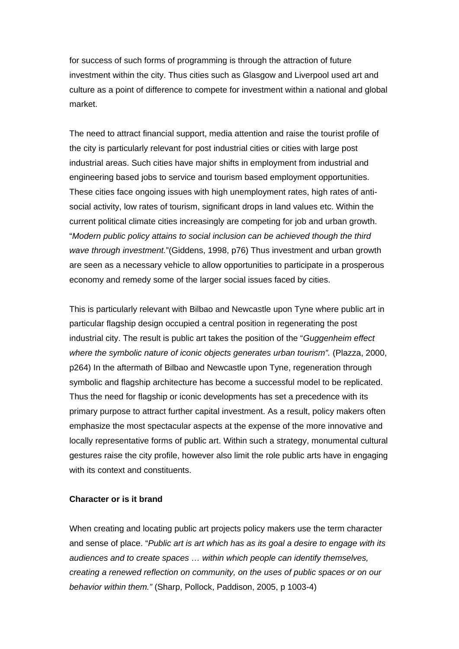for success of such forms of programming is through the attraction of future investment within the city. Thus cities such as Glasgow and Liverpool used art and culture as a point of difference to compete for investment within a national and global market.

The need to attract financial support, media attention and raise the tourist profile of the city is particularly relevant for post industrial cities or cities with large post industrial areas. Such cities have major shifts in employment from industrial and engineering based jobs to service and tourism based employment opportunities. These cities face ongoing issues with high unemployment rates, high rates of antisocial activity, low rates of tourism, significant drops in land values etc. Within the current political climate cities increasingly are competing for job and urban growth. "*Modern public policy attains to social inclusion can be achieved though the third wave through investment.*"(Giddens, 1998, p76) Thus investment and urban growth are seen as a necessary vehicle to allow opportunities to participate in a prosperous economy and remedy some of the larger social issues faced by cities.

This is particularly relevant with Bilbao and Newcastle upon Tyne where public art in particular flagship design occupied a central position in regenerating the post industrial city. The result is public art takes the position of the "*Guggenheim effect where the symbolic nature of iconic objects generates urban tourism".* (Plazza, 2000, p264) In the aftermath of Bilbao and Newcastle upon Tyne, regeneration through symbolic and flagship architecture has become a successful model to be replicated. Thus the need for flagship or iconic developments has set a precedence with its primary purpose to attract further capital investment. As a result, policy makers often emphasize the most spectacular aspects at the expense of the more innovative and locally representative forms of public art. Within such a strategy, monumental cultural gestures raise the city profile, however also limit the role public arts have in engaging with its context and constituents.

#### **Character or is it brand**

When creating and locating public art projects policy makers use the term character and sense of place. "*Public art is art which has as its goal a desire to engage with its audiences and to create spaces … within which people can identify themselves, creating a renewed reflection on community, on the uses of public spaces or on our behavior within them."* (Sharp, Pollock, Paddison, 2005, p 1003-4)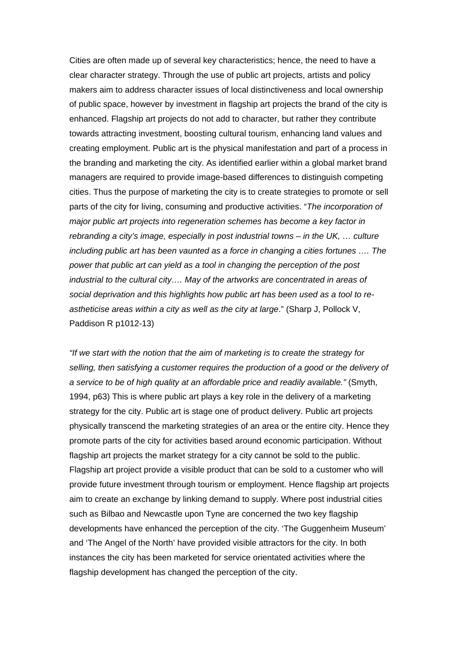Cities are often made up of several key characteristics; hence, the need to have a clear character strategy. Through the use of public art projects, artists and policy makers aim to address character issues of local distinctiveness and local ownership of public space, however by investment in flagship art projects the brand of the city is enhanced. Flagship art projects do not add to character, but rather they contribute towards attracting investment, boosting cultural tourism, enhancing land values and creating employment. Public art is the physical manifestation and part of a process in the branding and marketing the city. As identified earlier within a global market brand managers are required to provide image-based differences to distinguish competing cities. Thus the purpose of marketing the city is to create strategies to promote or sell parts of the city for living, consuming and productive activities. "*The incorporation of major public art projects into regeneration schemes has become a key factor in rebranding a city's image, especially in post industrial towns – in the UK, … culture including public art has been vaunted as a force in changing a cities fortunes …. The power that public art can yield as a tool in changing the perception of the post industrial to the cultural city…. May of the artworks are concentrated in areas of social deprivation and this highlights how public art has been used as a tool to reastheticise areas within a city as well as the city at large*." (Sharp J, Pollock V, Paddison R p1012-13)

*"If we start with the notion that the aim of marketing is to create the strategy for selling, then satisfying a customer requires the production of a good or the delivery of a service to be of high quality at an affordable price and readily available."* (Smyth, 1994, p63) This is where public art plays a key role in the delivery of a marketing strategy for the city. Public art is stage one of product delivery. Public art projects physically transcend the marketing strategies of an area or the entire city. Hence they promote parts of the city for activities based around economic participation. Without flagship art projects the market strategy for a city cannot be sold to the public. Flagship art project provide a visible product that can be sold to a customer who will provide future investment through tourism or employment. Hence flagship art projects aim to create an exchange by linking demand to supply. Where post industrial cities such as Bilbao and Newcastle upon Tyne are concerned the two key flagship developments have enhanced the perception of the city. 'The Guggenheim Museum' and 'The Angel of the North' have provided visible attractors for the city. In both instances the city has been marketed for service orientated activities where the flagship development has changed the perception of the city.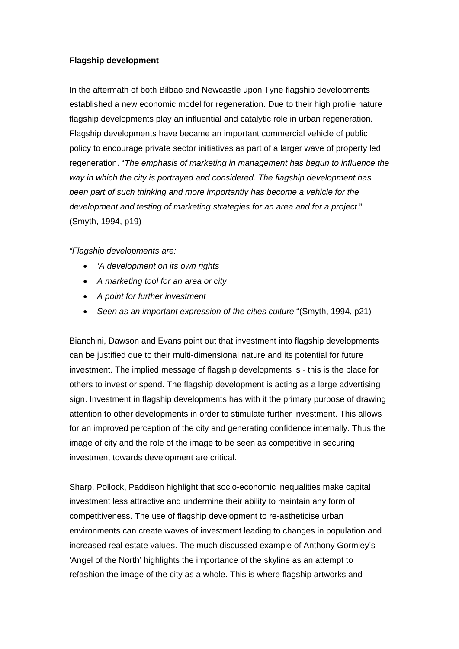#### **Flagship development**

In the aftermath of both Bilbao and Newcastle upon Tyne flagship developments established a new economic model for regeneration. Due to their high profile nature flagship developments play an influential and catalytic role in urban regeneration. Flagship developments have became an important commercial vehicle of public policy to encourage private sector initiatives as part of a larger wave of property led regeneration. "*The emphasis of marketing in management has begun to influence the way in which the city is portrayed and considered. The flagship development has been part of such thinking and more importantly has become a vehicle for the development and testing of marketing strategies for an area and for a project*." (Smyth, 1994, p19)

*"Flagship developments are:* 

- *'A development on its own rights*
- *A marketing tool for an area or city*
- *A point for further investment*
- *Seen as an important expression of the cities culture* "(Smyth, 1994, p21)

Bianchini, Dawson and Evans point out that investment into flagship developments can be justified due to their multi-dimensional nature and its potential for future investment. The implied message of flagship developments is - this is the place for others to invest or spend. The flagship development is acting as a large advertising sign. Investment in flagship developments has with it the primary purpose of drawing attention to other developments in order to stimulate further investment. This allows for an improved perception of the city and generating confidence internally. Thus the image of city and the role of the image to be seen as competitive in securing investment towards development are critical.

Sharp, Pollock, Paddison highlight that socio-economic inequalities make capital investment less attractive and undermine their ability to maintain any form of competitiveness. The use of flagship development to re-astheticise urban environments can create waves of investment leading to changes in population and increased real estate values. The much discussed example of Anthony Gormley's 'Angel of the North' highlights the importance of the skyline as an attempt to refashion the image of the city as a whole. This is where flagship artworks and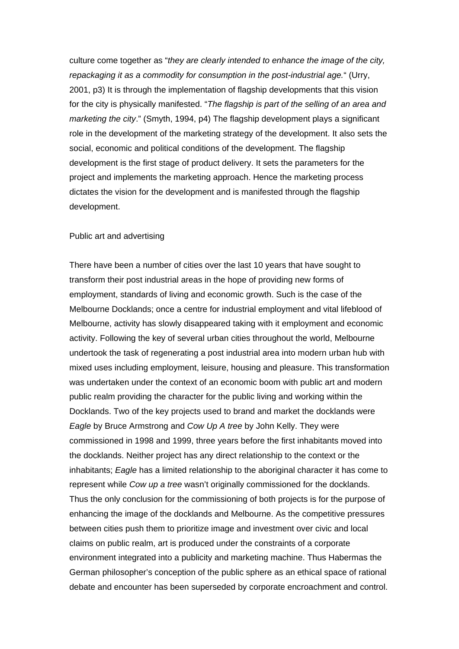culture come together as "*they are clearly intended to enhance the image of the city, repackaging it as a commodity for consumption in the post-industrial age.*" (Urry, 2001, p3) It is through the implementation of flagship developments that this vision for the city is physically manifested. "*The flagship is part of the selling of an area and marketing the city*." (Smyth, 1994, p4) The flagship development plays a significant role in the development of the marketing strategy of the development. It also sets the social, economic and political conditions of the development. The flagship development is the first stage of product delivery. It sets the parameters for the project and implements the marketing approach. Hence the marketing process dictates the vision for the development and is manifested through the flagship development.

#### Public art and advertising

There have been a number of cities over the last 10 years that have sought to transform their post industrial areas in the hope of providing new forms of employment, standards of living and economic growth. Such is the case of the Melbourne Docklands; once a centre for industrial employment and vital lifeblood of Melbourne, activity has slowly disappeared taking with it employment and economic activity. Following the key of several urban cities throughout the world, Melbourne undertook the task of regenerating a post industrial area into modern urban hub with mixed uses including employment, leisure, housing and pleasure. This transformation was undertaken under the context of an economic boom with public art and modern public realm providing the character for the public living and working within the Docklands. Two of the key projects used to brand and market the docklands were *Eagle* by Bruce Armstrong and *Cow Up A tree* by John Kelly. They were commissioned in 1998 and 1999, three years before the first inhabitants moved into the docklands. Neither project has any direct relationship to the context or the inhabitants; *Eagle* has a limited relationship to the aboriginal character it has come to represent while *Cow up a tree* wasn't originally commissioned for the docklands. Thus the only conclusion for the commissioning of both projects is for the purpose of enhancing the image of the docklands and Melbourne. As the competitive pressures between cities push them to prioritize image and investment over civic and local claims on public realm, art is produced under the constraints of a corporate environment integrated into a publicity and marketing machine. Thus Habermas the German philosopher's conception of the public sphere as an ethical space of rational debate and encounter has been superseded by corporate encroachment and control.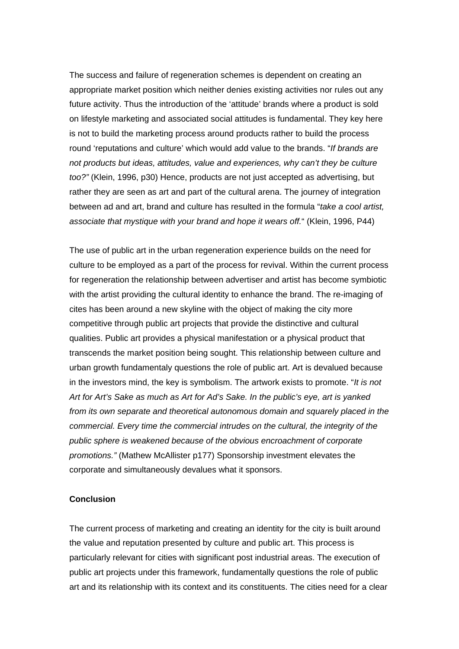The success and failure of regeneration schemes is dependent on creating an appropriate market position which neither denies existing activities nor rules out any future activity. Thus the introduction of the 'attitude' brands where a product is sold on lifestyle marketing and associated social attitudes is fundamental. They key here is not to build the marketing process around products rather to build the process round 'reputations and culture' which would add value to the brands. "*If brands are not products but ideas, attitudes, value and experiences, why can't they be culture too?"* (Klein, 1996, p30) Hence, products are not just accepted as advertising, but rather they are seen as art and part of the cultural arena. The journey of integration between ad and art, brand and culture has resulted in the formula "*take a cool artist, associate that mystique with your brand and hope it wears off.*" (Klein, 1996, P44)

The use of public art in the urban regeneration experience builds on the need for culture to be employed as a part of the process for revival. Within the current process for regeneration the relationship between advertiser and artist has become symbiotic with the artist providing the cultural identity to enhance the brand. The re-imaging of cites has been around a new skyline with the object of making the city more competitive through public art projects that provide the distinctive and cultural qualities. Public art provides a physical manifestation or a physical product that transcends the market position being sought. This relationship between culture and urban growth fundamentaly questions the role of public art. Art is devalued because in the investors mind, the key is symbolism. The artwork exists to promote. "*It is not Art for Art's Sake as much as Art for Ad's Sake. In the public's eye, art is yanked from its own separate and theoretical autonomous domain and squarely placed in the commercial. Every time the commercial intrudes on the cultural, the integrity of the public sphere is weakened because of the obvious encroachment of corporate promotions."* (Mathew McAllister p177) Sponsorship investment elevates the corporate and simultaneously devalues what it sponsors.

#### **Conclusion**

The current process of marketing and creating an identity for the city is built around the value and reputation presented by culture and public art. This process is particularly relevant for cities with significant post industrial areas. The execution of public art projects under this framework, fundamentally questions the role of public art and its relationship with its context and its constituents. The cities need for a clear